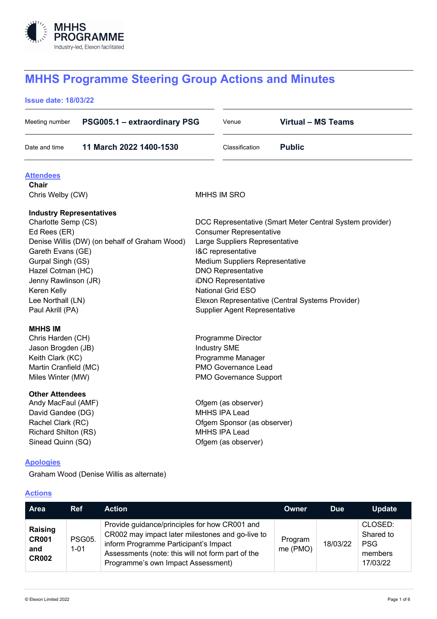

# **MHHS Programme Steering Group Actions and Minutes**

# **Issue date: 18/03/22**

| Meeting number                                                                                                                                                                                                                                     | PSG005.1 - extraordinary PSG                 |                                                                                                                                                                                                                                                                                                                                                                          | Venue                                                                                           | Virtual - MS Teams |
|----------------------------------------------------------------------------------------------------------------------------------------------------------------------------------------------------------------------------------------------------|----------------------------------------------|--------------------------------------------------------------------------------------------------------------------------------------------------------------------------------------------------------------------------------------------------------------------------------------------------------------------------------------------------------------------------|-------------------------------------------------------------------------------------------------|--------------------|
| Date and time                                                                                                                                                                                                                                      | 11 March 2022 1400-1530                      |                                                                                                                                                                                                                                                                                                                                                                          | Classification                                                                                  | <b>Public</b>      |
| <b>Attendees</b>                                                                                                                                                                                                                                   |                                              |                                                                                                                                                                                                                                                                                                                                                                          |                                                                                                 |                    |
| <b>Chair</b><br>Chris Welby (CW)                                                                                                                                                                                                                   |                                              | <b>MHHS IM SRO</b>                                                                                                                                                                                                                                                                                                                                                       |                                                                                                 |                    |
| <b>Industry Representatives</b><br>Charlotte Semp (CS)<br>Ed Rees (ER)<br>Denise Willis (DW) (on behalf of Graham Wood)<br>Gareth Evans (GE)<br>Gurpal Singh (GS)<br>Hazel Cotman (HC)<br>Jenny Rawlinson (JR)<br>Keren Kelly<br>Lee Northall (LN) |                                              | DCC Representative (Smart Meter Central System provider)<br><b>Consumer Representative</b><br>Large Suppliers Representative<br>I&C representative<br><b>Medium Suppliers Representative</b><br><b>DNO Representative</b><br>iDNO Representative<br><b>National Grid ESO</b><br>Elexon Representative (Central Systems Provider)<br><b>Supplier Agent Representative</b> |                                                                                                 |                    |
| Paul Akrill (PA)<br><b>MHHS IM</b><br>Chris Harden (CH)<br>Jason Brogden (JB)<br>Keith Clark (KC)<br>Martin Cranfield (MC)<br>Miles Winter (MW)                                                                                                    |                                              | <b>Industry SME</b>                                                                                                                                                                                                                                                                                                                                                      | Programme Director<br>Programme Manager<br>PMO Governance Lead<br><b>PMO Governance Support</b> |                    |
| <b>Other Attendees</b><br>Andy MacFaul (AMF)<br>David Gandee (DG)<br>Rachel Clark (RC)<br><b>Richard Shilton (RS)</b><br>Sinead Quinn (SQ)<br><b>Apologies</b>                                                                                     | <b>MHHS IPA Lead</b><br><b>MHHS IPA Lead</b> | Ofgem (as observer)<br>Ofgem Sponsor (as observer)<br>Ofgem (as observer)                                                                                                                                                                                                                                                                                                |                                                                                                 |                    |

Graham Wood (Denise Willis as alternate)

## **Actions**

| Area                                           | <b>Ref</b>                | <b>Action</b>                                                                                                                                                                                                                         | Owner               | <b>Due</b> | <b>Update</b>                                             |
|------------------------------------------------|---------------------------|---------------------------------------------------------------------------------------------------------------------------------------------------------------------------------------------------------------------------------------|---------------------|------------|-----------------------------------------------------------|
| Raising<br><b>CR001</b><br>and<br><b>CR002</b> | <b>PSG05.</b><br>$1 - 01$ | Provide guidance/principles for how CR001 and<br>CR002 may impact later milestones and go-live to<br>inform Programme Participant's Impact<br>Assessments (note: this will not form part of the<br>Programme's own Impact Assessment) | Program<br>me (PMO) | 18/03/22   | CLOSED:<br>Shared to<br><b>PSG</b><br>members<br>17/03/22 |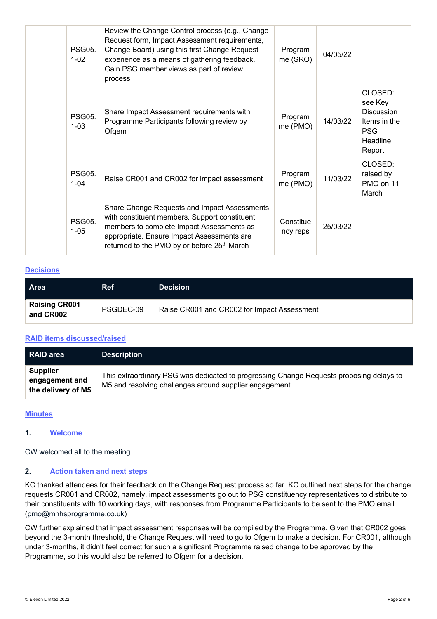| <b>PSG05.</b><br>$1 - 02$ | Review the Change Control process (e.g., Change<br>Request form, Impact Assessment requirements,<br>Change Board) using this first Change Request<br>experience as a means of gathering feedback.<br>Gain PSG member views as part of review<br>process | Program<br>me (SRO)   | 04/05/22 |                                                                                      |
|---------------------------|---------------------------------------------------------------------------------------------------------------------------------------------------------------------------------------------------------------------------------------------------------|-----------------------|----------|--------------------------------------------------------------------------------------|
| <b>PSG05.</b><br>$1 - 03$ | Share Impact Assessment requirements with<br>Programme Participants following review by<br>Ofgem                                                                                                                                                        | Program<br>me (PMO)   | 14/03/22 | CLOSED:<br>see Key<br>Discussion<br>Items in the<br><b>PSG</b><br>Headline<br>Report |
| <b>PSG05.</b><br>$1 - 04$ | Raise CR001 and CR002 for impact assessment                                                                                                                                                                                                             | Program<br>me (PMO)   | 11/03/22 | CLOSED:<br>raised by<br>PMO on 11<br>March                                           |
| <b>PSG05.</b><br>$1 - 05$ | Share Change Requests and Impact Assessments<br>with constituent members. Support constituent<br>members to complete Impact Assessments as<br>appropriate. Ensure Impact Assessments are<br>returned to the PMO by or before 25 <sup>th</sup> March     | Constitue<br>ncy reps | 25/03/22 |                                                                                      |

# **Decisions**

| <b>Area</b>                       | Ref.      | <b>Decision</b>                             |
|-----------------------------------|-----------|---------------------------------------------|
| <b>Raising CR001</b><br>and CR002 | PSGDEC-09 | Raise CR001 and CR002 for Impact Assessment |

## **RAID items discussed/raised**

| RAID area                                               | <b>Description</b>                                                                                                                                 |
|---------------------------------------------------------|----------------------------------------------------------------------------------------------------------------------------------------------------|
| <b>Supplier</b><br>engagement and<br>the delivery of M5 | This extraordinary PSG was dedicated to progressing Change Requests proposing delays to<br>M5 and resolving challenges around supplier engagement. |

## **Minutes**

#### **1. Welcome**

CW welcomed all to the meeting.

# **2. Action taken and next steps**

KC thanked attendees for their feedback on the Change Request process so far. KC outlined next steps for the change requests CR001 and CR002, namely, impact assessments go out to PSG constituency representatives to distribute to their constituents with 10 working days, with responses from Programme Participants to be sent to the PMO email (pmo@mhhsprogramme.co.uk)

CW further explained that impact assessment responses will be compiled by the Programme. Given that CR002 goes beyond the 3-month threshold, the Change Request will need to go to Ofgem to make a decision. For CR001, although under 3-months, it didn't feel correct for such a significant Programme raised change to be approved by the Programme, so this would also be referred to Ofgem for a decision.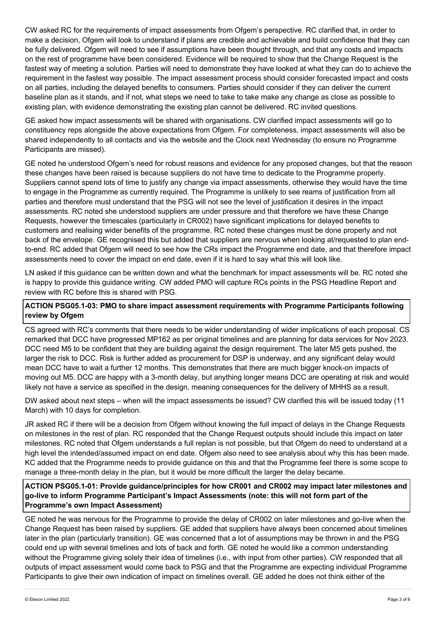CW asked RC for the requirements of impact assessments from Ofgem's perspective. RC clarified that, in order to make a decision, Ofgem will look to understand if plans are credible and achievable and build confidence that they can be fully delivered. Ofgem will need to see if assumptions have been thought through, and that any costs and impacts on the rest of programme have been considered. Evidence will be required to show that the Change Request is the fastest way of meeting a solution. Parties will need to demonstrate they have looked at what they can do to achieve the requirement in the fastest way possible. The impact assessment process should consider forecasted impact and costs on all parties, including the delayed benefits to consumers. Parties should consider if they can deliver the current baseline plan as it stands, and if not, what steps we need to take to take make any change as close as possible to existing plan, with evidence demonstrating the existing plan cannot be delivered. RC invited questions.

GE asked how impact assessments will be shared with organisations. CW clarified impact assessments will go to constituency reps alongside the above expectations from Ofgem. For completeness, impact assessments will also be shared independently to all contacts and via the website and the Clock next Wednesday (to ensure no Programme Participants are missed).

GE noted he understood Ofgem's need for robust reasons and evidence for any proposed changes, but that the reason these changes have been raised is because suppliers do not have time to dedicate to the Programme properly. Suppliers cannot spend lots of time to justify any change via impact assessments, otherwise they would have the time to engage in the Programme as currently required. The Programme is unlikely to see reams of justification from all parties and therefore must understand that the PSG will not see the level of justification it desires in the impact assessments. RC noted she understood suppliers are under pressure and that therefore we have these Change Requests, however the timescales (particularly in CR002) have significant implications for delayed benefits to customers and realising wider benefits of the programme. RC noted these changes must be done properly and not back of the envelope. GE recognised this but added that suppliers are nervous when looking at/requested to plan endto-end. RC added that Ofgem will need to see how the CRs impact the Programme end date, and that therefore impact assessments need to cover the impact on end date, even if it is hard to say what this will look like.

LN asked if this guidance can be written down and what the benchmark for impact assessments will be. RC noted she is happy to provide this guidance writing. CW added PMO will capture RCs points in the PSG Headline Report and review with RC before this is shared with PSG.

# **ACTION PSG05.1-03: PMO to share impact assessment requirements with Programme Participants following review by Ofgem**

CS agreed with RC's comments that there needs to be wider understanding of wider implications of each proposal. CS remarked that DCC have progressed MP162 as per original timelines and are planning for data services for Nov 2023. DCC need M5 to be confident that they are building against the design requirement. The later M5 gets pushed, the larger the risk to DCC. Risk is further added as procurement for DSP is underway, and any significant delay would mean DCC have to wait a further 12 months. This demonstrates that there are much bigger knock-on impacts of moving out M5. DCC are happy with a 3-month delay, but anything longer means DCC are operating at risk and would likely not have a service as specified in the design, meaning consequences for the delivery of MHHS as a result.

DW asked about next steps – when will the impact assessments be issued? CW clarified this will be issued today (11 March) with 10 days for completion.

JR asked RC if there will be a decision from Ofgem without knowing the full impact of delays in the Change Requests on milestones in the rest of plan. RC responded that the Change Request outputs should include this impact on later milestones. RC noted that Ofgem understands a full replan is not possible, but that Ofgem do need to understand at a high level the intended/assumed impact on end date. Ofgem also need to see analysis about why this has been made. KC added that the Programme needs to provide guidance on this and that the Programme feel there is some scope to manage a three-month delay in the plan, but it would be more difficult the larger the delay became.

# **ACTION PSG05.1-01: Provide guidance/principles for how CR001 and CR002 may impact later milestones and go-live to inform Programme Participant's Impact Assessments (note: this will not form part of the Programme's own Impact Assessment)**

GE noted he was nervous for the Programme to provide the delay of CR002 on later milestones and go-live when the Change Request has been raised by suppliers. GE added that suppliers have always been concerned about timelines later in the plan (particularly transition). GE was concerned that a lot of assumptions may be thrown in and the PSG could end up with several timelines and lots of back and forth. GE noted he would like a common understanding without the Programme giving solely their idea of timelines (i.e., with input from other parties). CW responded that all outputs of impact assessment would come back to PSG and that the Programme are expecting individual Programme Participants to give their own indication of impact on timelines overall. GE added he does not think either of the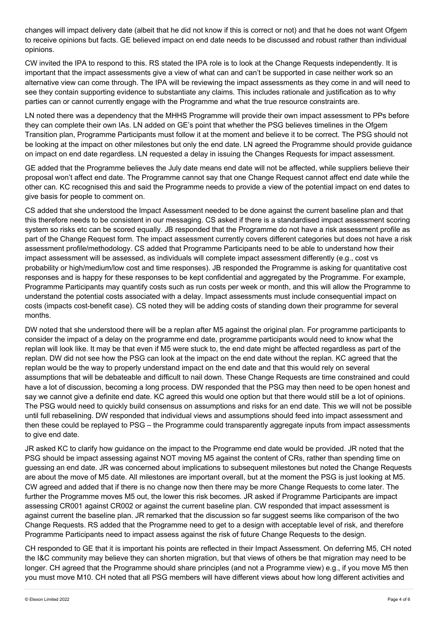changes will impact delivery date (albeit that he did not know if this is correct or not) and that he does not want Ofgem to receive opinions but facts. GE believed impact on end date needs to be discussed and robust rather than individual opinions.

CW invited the IPA to respond to this. RS stated the IPA role is to look at the Change Requests independently. It is important that the impact assessments give a view of what can and can't be supported in case neither work so an alternative view can come through. The IPA will be reviewing the impact assessments as they come in and will need to see they contain supporting evidence to substantiate any claims. This includes rationale and justification as to why parties can or cannot currently engage with the Programme and what the true resource constraints are.

LN noted there was a dependency that the MHHS Programme will provide their own impact assessment to PPs before they can complete their own IAs. LN added on GE's point that whether the PSG believes timelines in the Ofgem Transition plan, Programme Participants must follow it at the moment and believe it to be correct. The PSG should not be looking at the impact on other milestones but only the end date. LN agreed the Programme should provide guidance on impact on end date regardless. LN requested a delay in issuing the Changes Requests for impact assessment.

GE added that the Programme believes the July date means end date will not be affected, while suppliers believe their proposal won't affect end date. The Programme cannot say that one Change Request cannot affect end date while the other can. KC recognised this and said the Programme needs to provide a view of the potential impact on end dates to give basis for people to comment on.

CS added that she understood the Impact Assessment needed to be done against the current baseline plan and that this therefore needs to be consistent in our messaging. CS asked if there is a standardised impact assessment scoring system so risks etc can be scored equally. JB responded that the Programme do not have a risk assessment profile as part of the Change Request form. The impact assessment currently covers different categories but does not have a risk assessment profile/methodology. CS added that Programme Participants need to be able to understand how their impact assessment will be assessed, as individuals will complete impact assessment differently (e.g., cost vs probability or high/medium/low cost and time responses). JB responded the Programme is asking for quantitative cost responses and is happy for these responses to be kept confidential and aggregated by the Programme. For example, Programme Participants may quantify costs such as run costs per week or month, and this will allow the Programme to understand the potential costs associated with a delay. Impact assessments must include consequential impact on costs (impacts cost-benefit case). CS noted they will be adding costs of standing down their programme for several months.

DW noted that she understood there will be a replan after M5 against the original plan. For programme participants to consider the impact of a delay on the programme end date, programme participants would need to know what the replan will look like. It may be that even if M5 were stuck to, the end date might be affected regardless as part of the replan. DW did not see how the PSG can look at the impact on the end date without the replan. KC agreed that the replan would be the way to properly understand impact on the end date and that this would rely on several assumptions that will be debateable and difficult to nail down. These Change Requests are time constrained and could have a lot of discussion, becoming a long process. DW responded that the PSG may then need to be open honest and say we cannot give a definite end date. KC agreed this would one option but that there would still be a lot of opinions. The PSG would need to quickly build consensus on assumptions and risks for an end date. This we will not be possible until full rebaselining. DW responded that individual views and assumptions should feed into impact assessment and then these could be replayed to PSG – the Programme could transparently aggregate inputs from impact assessments to give end date.

JR asked KC to clarify how guidance on the impact to the Programme end date would be provided. JR noted that the PSG should be impact assessing against NOT moving M5 against the content of CRs, rather than spending time on guessing an end date. JR was concerned about implications to subsequent milestones but noted the Change Requests are about the move of M5 date. All milestones are important overall, but at the moment the PSG is just looking at M5. CW agreed and added that if there is no change now then there may be more Change Requests to come later. The further the Programme moves M5 out, the lower this risk becomes. JR asked if Programme Participants are impact assessing CR001 against CR002 or against the current baseline plan. CW responded that impact assessment is against current the baseline plan. JR remarked that the discussion so far suggest seems like comparison of the two Change Requests. RS added that the Programme need to get to a design with acceptable level of risk, and therefore Programme Participants need to impact assess against the risk of future Change Requests to the design.

CH responded to GE that it is important his points are reflected in their Impact Assessment. On deferring M5, CH noted the I&C community may believe they can shorten migration, but that views of others be that migration may need to be longer. CH agreed that the Programme should share principles (and not a Programme view) e.g., if you move M5 then you must move M10. CH noted that all PSG members will have different views about how long different activities and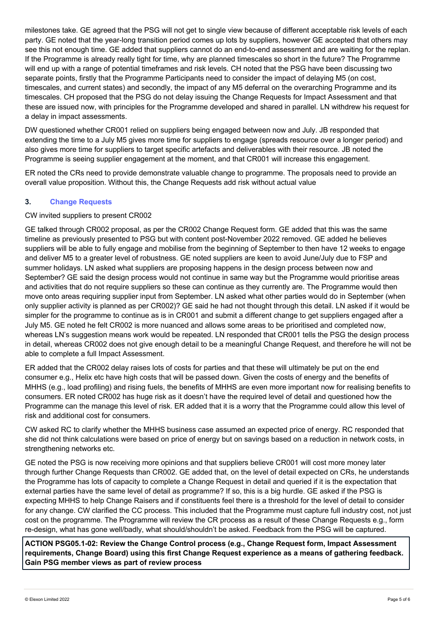milestones take. GE agreed that the PSG will not get to single view because of different acceptable risk levels of each party. GE noted that the year-long transition period comes up lots by suppliers, however GE accepted that others may see this not enough time. GE added that suppliers cannot do an end-to-end assessment and are waiting for the replan. If the Programme is already really tight for time, why are planned timescales so short in the future? The Programme will end up with a range of potential timeframes and risk levels. CH noted that the PSG have been discussing two separate points, firstly that the Programme Participants need to consider the impact of delaying M5 (on cost, timescales, and current states) and secondly, the impact of any M5 deferral on the overarching Programme and its timescales. CH proposed that the PSG do not delay issuing the Change Requests for Impact Assessment and that these are issued now, with principles for the Programme developed and shared in parallel. LN withdrew his request for a delay in impact assessments.

DW questioned whether CR001 relied on suppliers being engaged between now and July. JB responded that extending the time to a July M5 gives more time for suppliers to engage (spreads resource over a longer period) and also gives more time for suppliers to target specific artefacts and deliverables with their resource. JB noted the Programme is seeing supplier engagement at the moment, and that CR001 will increase this engagement.

ER noted the CRs need to provide demonstrate valuable change to programme. The proposals need to provide an overall value proposition. Without this, the Change Requests add risk without actual value

# **3. Change Requests**

#### CW invited suppliers to present CR002

GE talked through CR002 proposal, as per the CR002 Change Request form. GE added that this was the same timeline as previously presented to PSG but with content post-November 2022 removed. GE added he believes suppliers will be able to fully engage and mobilise from the beginning of September to then have 12 weeks to engage and deliver M5 to a greater level of robustness. GE noted suppliers are keen to avoid June/July due to FSP and summer holidays. LN asked what suppliers are proposing happens in the design process between now and September? GE said the design process would not continue in same way but the Programme would prioritise areas and activities that do not require suppliers so these can continue as they currently are. The Programme would then move onto areas requiring supplier input from September. LN asked what other parties would do in September (when only supplier activity is planned as per CR002)? GE said he had not thought through this detail. LN asked if it would be simpler for the programme to continue as is in CR001 and submit a different change to get suppliers engaged after a July M5. GE noted he felt CR002 is more nuanced and allows some areas to be prioritised and completed now, whereas LN's suggestion means work would be repeated. LN responded that CR001 tells the PSG the design process in detail, whereas CR002 does not give enough detail to be a meaningful Change Request, and therefore he will not be able to complete a full Impact Assessment.

ER added that the CR002 delay raises lots of costs for parties and that these will ultimately be put on the end consumer e.g., Helix etc have high costs that will be passed down. Given the costs of energy and the benefits of MHHS (e.g., load profiling) and rising fuels, the benefits of MHHS are even more important now for realising benefits to consumers. ER noted CR002 has huge risk as it doesn't have the required level of detail and questioned how the Programme can the manage this level of risk. ER added that it is a worry that the Programme could allow this level of risk and additional cost for consumers.

CW asked RC to clarify whether the MHHS business case assumed an expected price of energy. RC responded that she did not think calculations were based on price of energy but on savings based on a reduction in network costs, in strengthening networks etc.

GE noted the PSG is now receiving more opinions and that suppliers believe CR001 will cost more money later through further Change Requests than CR002. GE added that, on the level of detail expected on CRs, he understands the Programme has lots of capacity to complete a Change Request in detail and queried if it is the expectation that external parties have the same level of detail as programme? If so, this is a big hurdle. GE asked if the PSG is expecting MHHS to help Change Raisers and if constituents feel there is a threshold for the level of detail to consider for any change. CW clarified the CC process. This included that the Programme must capture full industry cost, not just cost on the programme. The Programme will review the CR process as a result of these Change Requests e.g., form re-design, what has gone well/badly, what should/shouldn't be asked. Feedback from the PSG will be captured.

**ACTION PSG05.1-02: Review the Change Control process (e.g., Change Request form, Impact Assessment requirements, Change Board) using this first Change Request experience as a means of gathering feedback. Gain PSG member views as part of review process**